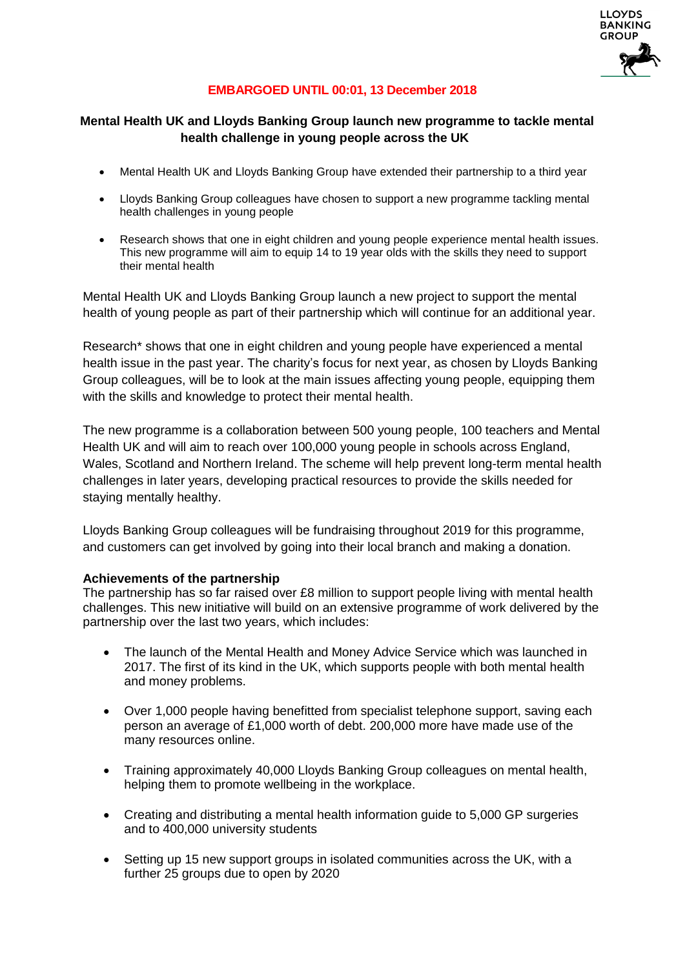

# **EMBARGOED UNTIL 00:01, 13 December 2018**

### **Mental Health UK and Lloyds Banking Group launch new programme to tackle mental health challenge in young people across the UK**

- Mental Health UK and Lloyds Banking Group have extended their partnership to a third year
- Lloyds Banking Group colleagues have chosen to support a new programme tackling mental health challenges in young people
- Research shows that one in eight children and young people experience mental health issues. This new programme will aim to equip 14 to 19 year olds with the skills they need to support their mental health

Mental Health UK and Lloyds Banking Group launch a new project to support the mental health of young people as part of their partnership which will continue for an additional year.

Research\* shows that one in eight children and young people have experienced a mental health issue in the past year. The charity's focus for next year, as chosen by Lloyds Banking Group colleagues, will be to look at the main issues affecting young people, equipping them with the skills and knowledge to protect their mental health.

The new programme is a collaboration between 500 young people, 100 teachers and Mental Health UK and will aim to reach over 100,000 young people in schools across England, Wales, Scotland and Northern Ireland. The scheme will help prevent long-term mental health challenges in later years, developing practical resources to provide the skills needed for staying mentally healthy.

Lloyds Banking Group colleagues will be fundraising throughout 2019 for this programme, and customers can get involved by going into their local branch and making a donation.

#### **Achievements of the partnership**

The partnership has so far raised over £8 million to support people living with mental health challenges. This new initiative will build on an extensive programme of work delivered by the partnership over the last two years, which includes:

- The launch of the Mental Health and Money Advice Service which was launched in 2017. The first of its kind in the UK, which supports people with both mental health and money problems.
- Over 1,000 people having benefitted from specialist telephone support, saving each person an average of £1,000 worth of debt. 200,000 more have made use of the many resources online.
- Training approximately 40,000 Lloyds Banking Group colleagues on mental health, helping them to promote wellbeing in the workplace.
- Creating and distributing a mental health information guide to 5,000 GP surgeries and to 400,000 university students
- Setting up 15 new support groups in isolated communities across the UK, with a further 25 groups due to open by 2020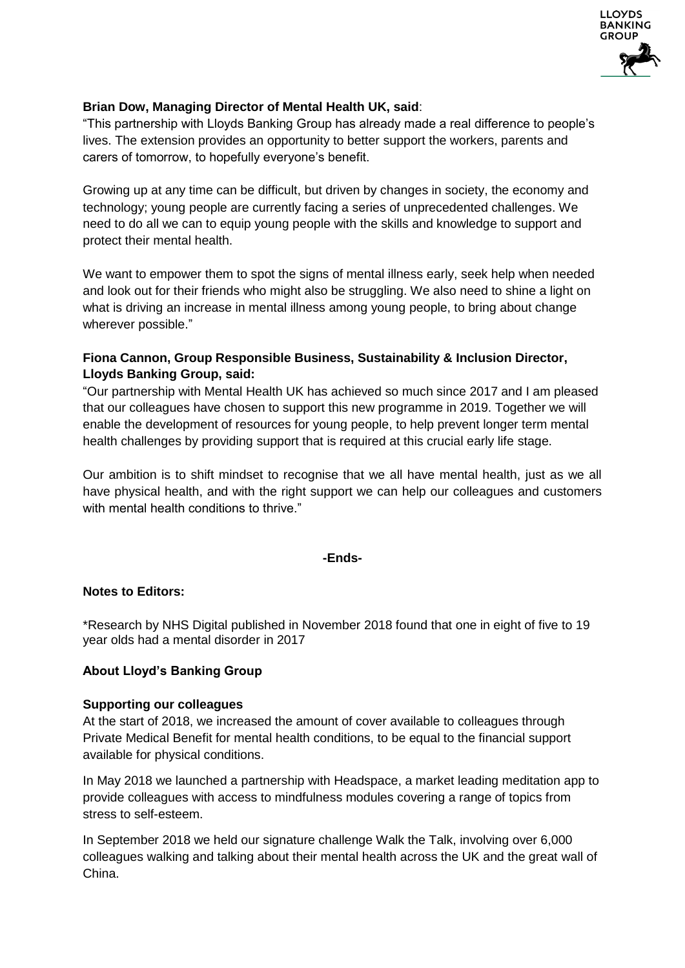

## **Brian Dow, Managing Director of Mental Health UK, said**:

"This partnership with Lloyds Banking Group has already made a real difference to people's lives. The extension provides an opportunity to better support the workers, parents and carers of tomorrow, to hopefully everyone's benefit.

Growing up at any time can be difficult, but driven by changes in society, the economy and technology; young people are currently facing a series of unprecedented challenges. We need to do all we can to equip young people with the skills and knowledge to support and protect their mental health.

We want to empower them to spot the signs of mental illness early, seek help when needed and look out for their friends who might also be struggling. We also need to shine a light on what is driving an increase in mental illness among young people, to bring about change wherever possible."

## **Fiona Cannon, Group Responsible Business, Sustainability & Inclusion Director, Lloyds Banking Group, said:**

"Our partnership with Mental Health UK has achieved so much since 2017 and I am pleased that our colleagues have chosen to support this new programme in 2019. Together we will enable the development of resources for young people, to help prevent longer term mental health challenges by providing support that is required at this crucial early life stage.

Our ambition is to shift mindset to recognise that we all have mental health, just as we all have physical health, and with the right support we can help our colleagues and customers with mental health conditions to thrive."

#### **-Ends-**

#### **Notes to Editors:**

[\\*Research by NHS Digital published in November 2018 found that one in eight of five to 19](https://digital.nhs.uk/news-and-events/latest-news/one-in-eight-of-five-to-19-year-olds-had-a-mental-disorder-in-2017-major-new-survey-finds)  [year olds had a mental disorder in 2017](https://digital.nhs.uk/news-and-events/latest-news/one-in-eight-of-five-to-19-year-olds-had-a-mental-disorder-in-2017-major-new-survey-finds) 

#### **About Lloyd's Banking Group**

#### **Supporting our colleagues**

At the start of 2018, we increased the amount of cover available to colleagues through Private Medical Benefit for mental health conditions, to be equal to the financial support available for physical conditions.

In May 2018 we launched a partnership with Headspace, a market leading meditation app to provide colleagues with access to mindfulness modules covering a range of topics from stress to self-esteem.

In September 2018 we held our signature challenge Walk the Talk, involving over 6,000 colleagues walking and talking about their mental health across the UK and the great wall of China.